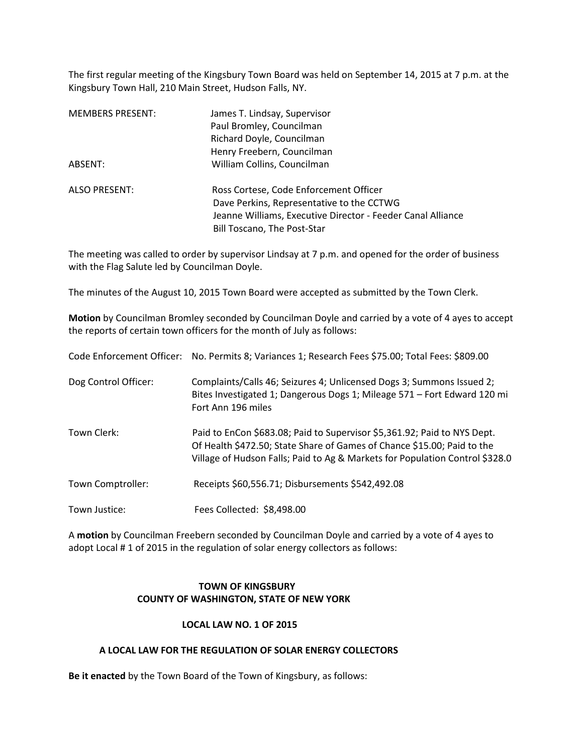The first regular meeting of the Kingsbury Town Board was held on September 14, 2015 at 7 p.m. at the Kingsbury Town Hall, 210 Main Street, Hudson Falls, NY.

| <b>MEMBERS PRESENT:</b> | James T. Lindsay, Supervisor<br>Paul Bromley, Councilman<br>Richard Doyle, Councilman<br>Henry Freebern, Councilman                                                               |
|-------------------------|-----------------------------------------------------------------------------------------------------------------------------------------------------------------------------------|
| ABSENT:                 | William Collins, Councilman                                                                                                                                                       |
| <b>ALSO PRESENT:</b>    | Ross Cortese, Code Enforcement Officer<br>Dave Perkins, Representative to the CCTWG<br>Jeanne Williams, Executive Director - Feeder Canal Alliance<br>Bill Toscano, The Post-Star |

The meeting was called to order by supervisor Lindsay at 7 p.m. and opened for the order of business with the Flag Salute led by Councilman Doyle.

The minutes of the August 10, 2015 Town Board were accepted as submitted by the Town Clerk.

**Motion** by Councilman Bromley seconded by Councilman Doyle and carried by a vote of 4 ayes to accept the reports of certain town officers for the month of July as follows:

| Code Enforcement Officer: | No. Permits 8; Variances 1; Research Fees \$75.00; Total Fees: \$809.00                                                                                                                                                             |
|---------------------------|-------------------------------------------------------------------------------------------------------------------------------------------------------------------------------------------------------------------------------------|
| Dog Control Officer:      | Complaints/Calls 46; Seizures 4; Unlicensed Dogs 3; Summons Issued 2;<br>Bites Investigated 1; Dangerous Dogs 1; Mileage 571 - Fort Edward 120 mi<br>Fort Ann 196 miles                                                             |
| Town Clerk:               | Paid to EnCon \$683.08; Paid to Supervisor \$5,361.92; Paid to NYS Dept.<br>Of Health \$472.50; State Share of Games of Chance \$15.00; Paid to the<br>Village of Hudson Falls; Paid to Ag & Markets for Population Control \$328.0 |
| Town Comptroller:         | Receipts \$60,556.71; Disbursements \$542,492.08                                                                                                                                                                                    |
| Town Justice:             | Fees Collected: \$8,498.00                                                                                                                                                                                                          |

A **motion** by Councilman Freebern seconded by Councilman Doyle and carried by a vote of 4 ayes to adopt Local # 1 of 2015 in the regulation of solar energy collectors as follows:

# **TOWN OF KINGSBURY COUNTY OF WASHINGTON, STATE OF NEW YORK**

## **LOCAL LAW NO. 1 OF 2015**

## **A LOCAL LAW FOR THE REGULATION OF SOLAR ENERGY COLLECTORS**

**Be it enacted** by the Town Board of the Town of Kingsbury, as follows: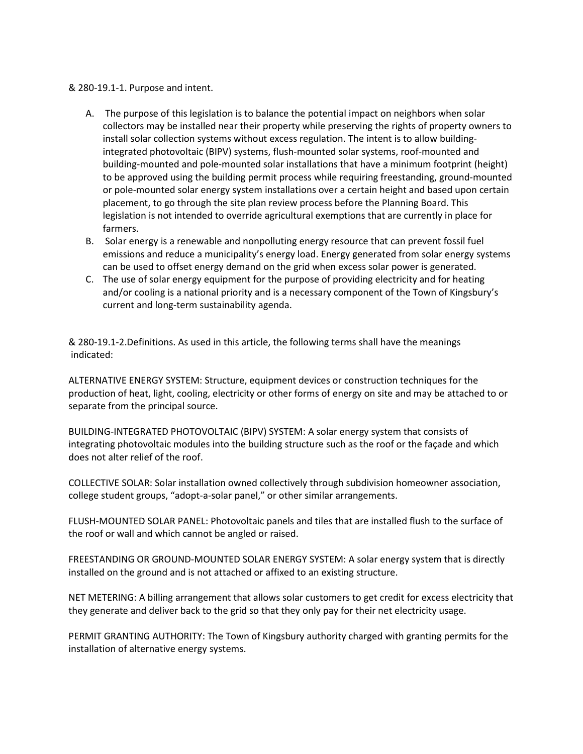### & 280-19.1-1. Purpose and intent.

- A. The purpose of this legislation is to balance the potential impact on neighbors when solar collectors may be installed near their property while preserving the rights of property owners to install solar collection systems without excess regulation. The intent is to allow buildingintegrated photovoltaic (BIPV) systems, flush-mounted solar systems, roof-mounted and building-mounted and pole-mounted solar installations that have a minimum footprint (height) to be approved using the building permit process while requiring freestanding, ground-mounted or pole-mounted solar energy system installations over a certain height and based upon certain placement, to go through the site plan review process before the Planning Board. This legislation is not intended to override agricultural exemptions that are currently in place for farmers.
- B. Solar energy is a renewable and nonpolluting energy resource that can prevent fossil fuel emissions and reduce a municipality's energy load. Energy generated from solar energy systems can be used to offset energy demand on the grid when excess solar power is generated.
- C. The use of solar energy equipment for the purpose of providing electricity and for heating and/or cooling is a national priority and is a necessary component of the Town of Kingsbury's current and long-term sustainability agenda.

& 280-19.1-2.Definitions. As used in this article, the following terms shall have the meanings indicated:

ALTERNATIVE ENERGY SYSTEM: Structure, equipment devices or construction techniques for the production of heat, light, cooling, electricity or other forms of energy on site and may be attached to or separate from the principal source.

BUILDING-INTEGRATED PHOTOVOLTAIC (BIPV) SYSTEM: A solar energy system that consists of integrating photovoltaic modules into the building structure such as the roof or the façade and which does not alter relief of the roof.

COLLECTIVE SOLAR: Solar installation owned collectively through subdivision homeowner association, college student groups, "adopt-a-solar panel," or other similar arrangements.

FLUSH-MOUNTED SOLAR PANEL: Photovoltaic panels and tiles that are installed flush to the surface of the roof or wall and which cannot be angled or raised.

FREESTANDING OR GROUND-MOUNTED SOLAR ENERGY SYSTEM: A solar energy system that is directly installed on the ground and is not attached or affixed to an existing structure.

NET METERING: A billing arrangement that allows solar customers to get credit for excess electricity that they generate and deliver back to the grid so that they only pay for their net electricity usage.

PERMIT GRANTING AUTHORITY: The Town of Kingsbury authority charged with granting permits for the installation of alternative energy systems.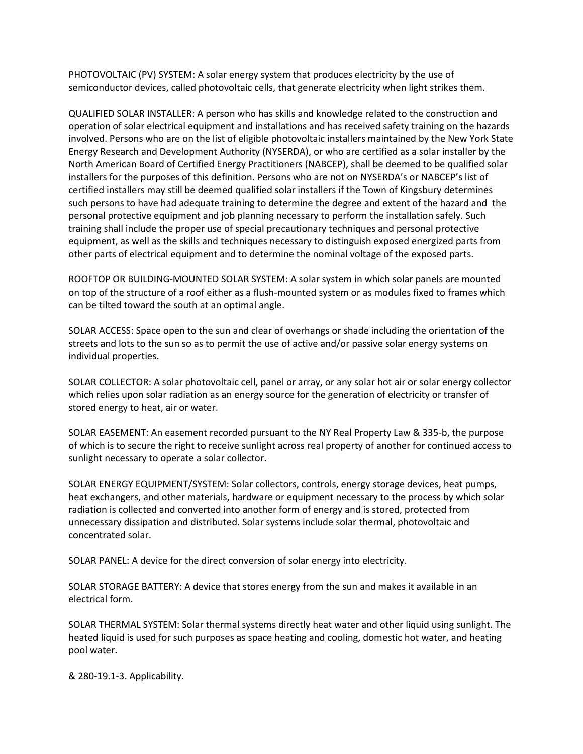PHOTOVOLTAIC (PV) SYSTEM: A solar energy system that produces electricity by the use of semiconductor devices, called photovoltaic cells, that generate electricity when light strikes them.

QUALIFIED SOLAR INSTALLER: A person who has skills and knowledge related to the construction and operation of solar electrical equipment and installations and has received safety training on the hazards involved. Persons who are on the list of eligible photovoltaic installers maintained by the New York State Energy Research and Development Authority (NYSERDA), or who are certified as a solar installer by the North American Board of Certified Energy Practitioners (NABCEP), shall be deemed to be qualified solar installers for the purposes of this definition. Persons who are not on NYSERDA's or NABCEP's list of certified installers may still be deemed qualified solar installers if the Town of Kingsbury determines such persons to have had adequate training to determine the degree and extent of the hazard and the personal protective equipment and job planning necessary to perform the installation safely. Such training shall include the proper use of special precautionary techniques and personal protective equipment, as well as the skills and techniques necessary to distinguish exposed energized parts from other parts of electrical equipment and to determine the nominal voltage of the exposed parts.

ROOFTOP OR BUILDING-MOUNTED SOLAR SYSTEM: A solar system in which solar panels are mounted on top of the structure of a roof either as a flush-mounted system or as modules fixed to frames which can be tilted toward the south at an optimal angle.

SOLAR ACCESS: Space open to the sun and clear of overhangs or shade including the orientation of the streets and lots to the sun so as to permit the use of active and/or passive solar energy systems on individual properties.

SOLAR COLLECTOR: A solar photovoltaic cell, panel or array, or any solar hot air or solar energy collector which relies upon solar radiation as an energy source for the generation of electricity or transfer of stored energy to heat, air or water.

SOLAR EASEMENT: An easement recorded pursuant to the NY Real Property Law & 335-b, the purpose of which is to secure the right to receive sunlight across real property of another for continued access to sunlight necessary to operate a solar collector.

SOLAR ENERGY EQUIPMENT/SYSTEM: Solar collectors, controls, energy storage devices, heat pumps, heat exchangers, and other materials, hardware or equipment necessary to the process by which solar radiation is collected and converted into another form of energy and is stored, protected from unnecessary dissipation and distributed. Solar systems include solar thermal, photovoltaic and concentrated solar.

SOLAR PANEL: A device for the direct conversion of solar energy into electricity.

SOLAR STORAGE BATTERY: A device that stores energy from the sun and makes it available in an electrical form.

SOLAR THERMAL SYSTEM: Solar thermal systems directly heat water and other liquid using sunlight. The heated liquid is used for such purposes as space heating and cooling, domestic hot water, and heating pool water.

& 280-19.1-3. Applicability.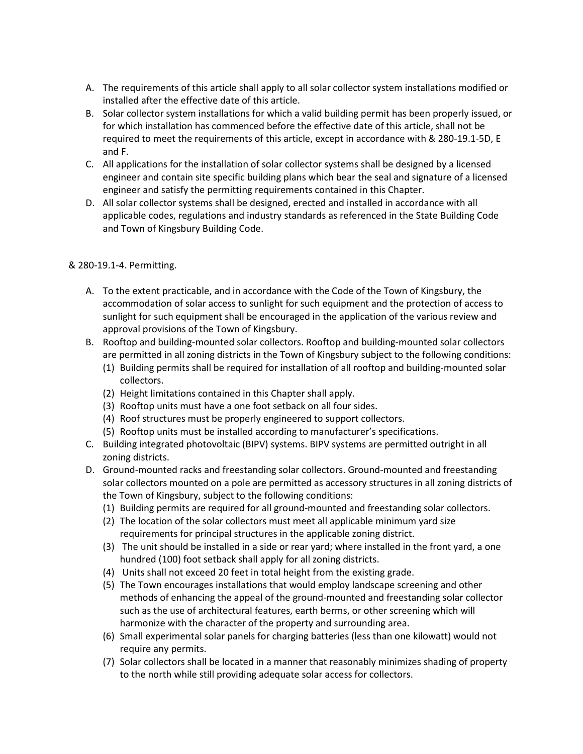- A. The requirements of this article shall apply to all solar collector system installations modified or installed after the effective date of this article.
- B. Solar collector system installations for which a valid building permit has been properly issued, or for which installation has commenced before the effective date of this article, shall not be required to meet the requirements of this article, except in accordance with & 280-19.1-5D, E and F.
- C. All applications for the installation of solar collector systems shall be designed by a licensed engineer and contain site specific building plans which bear the seal and signature of a licensed engineer and satisfy the permitting requirements contained in this Chapter.
- D. All solar collector systems shall be designed, erected and installed in accordance with all applicable codes, regulations and industry standards as referenced in the State Building Code and Town of Kingsbury Building Code.

# & 280-19.1-4. Permitting.

- A. To the extent practicable, and in accordance with the Code of the Town of Kingsbury, the accommodation of solar access to sunlight for such equipment and the protection of access to sunlight for such equipment shall be encouraged in the application of the various review and approval provisions of the Town of Kingsbury.
- B. Rooftop and building-mounted solar collectors. Rooftop and building-mounted solar collectors are permitted in all zoning districts in the Town of Kingsbury subject to the following conditions:
	- (1) Building permits shall be required for installation of all rooftop and building-mounted solar collectors.
	- (2) Height limitations contained in this Chapter shall apply.
	- (3) Rooftop units must have a one foot setback on all four sides.
	- (4) Roof structures must be properly engineered to support collectors.
	- (5) Rooftop units must be installed according to manufacturer's specifications.
- C. Building integrated photovoltaic (BIPV) systems. BIPV systems are permitted outright in all zoning districts.
- D. Ground-mounted racks and freestanding solar collectors. Ground-mounted and freestanding solar collectors mounted on a pole are permitted as accessory structures in all zoning districts of the Town of Kingsbury, subject to the following conditions:
	- (1) Building permits are required for all ground-mounted and freestanding solar collectors.
	- (2) The location of the solar collectors must meet all applicable minimum yard size requirements for principal structures in the applicable zoning district.
	- (3) The unit should be installed in a side or rear yard; where installed in the front yard, a one hundred (100) foot setback shall apply for all zoning districts.
	- (4) Units shall not exceed 20 feet in total height from the existing grade.
	- (5) The Town encourages installations that would employ landscape screening and other methods of enhancing the appeal of the ground-mounted and freestanding solar collector such as the use of architectural features, earth berms, or other screening which will harmonize with the character of the property and surrounding area.
	- (6) Small experimental solar panels for charging batteries (less than one kilowatt) would not require any permits.
	- (7) Solar collectors shall be located in a manner that reasonably minimizes shading of property to the north while still providing adequate solar access for collectors.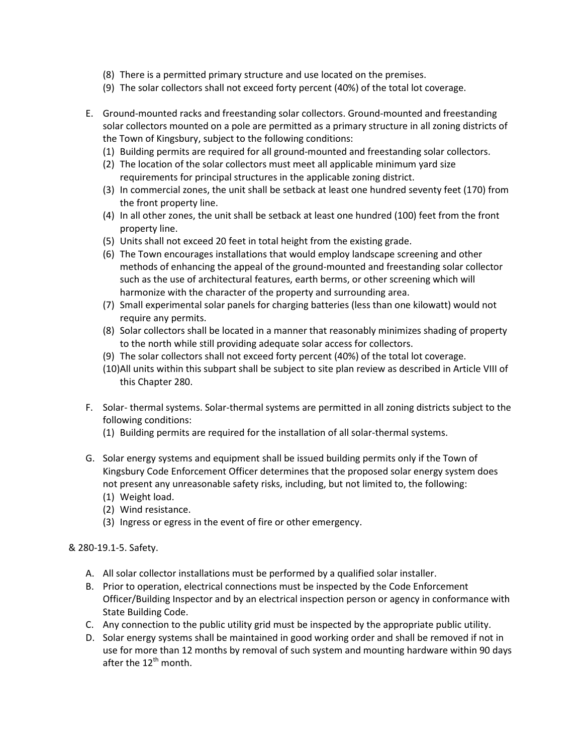- (8) There is a permitted primary structure and use located on the premises.
- (9) The solar collectors shall not exceed forty percent (40%) of the total lot coverage.
- E. Ground-mounted racks and freestanding solar collectors. Ground-mounted and freestanding solar collectors mounted on a pole are permitted as a primary structure in all zoning districts of the Town of Kingsbury, subject to the following conditions:
	- (1) Building permits are required for all ground-mounted and freestanding solar collectors.
	- (2) The location of the solar collectors must meet all applicable minimum yard size requirements for principal structures in the applicable zoning district.
	- (3) In commercial zones, the unit shall be setback at least one hundred seventy feet (170) from the front property line.
	- (4) In all other zones, the unit shall be setback at least one hundred (100) feet from the front property line.
	- (5) Units shall not exceed 20 feet in total height from the existing grade.
	- (6) The Town encourages installations that would employ landscape screening and other methods of enhancing the appeal of the ground-mounted and freestanding solar collector such as the use of architectural features, earth berms, or other screening which will harmonize with the character of the property and surrounding area.
	- (7) Small experimental solar panels for charging batteries (less than one kilowatt) would not require any permits.
	- (8) Solar collectors shall be located in a manner that reasonably minimizes shading of property to the north while still providing adequate solar access for collectors.
	- (9) The solar collectors shall not exceed forty percent (40%) of the total lot coverage.
	- (10)All units within this subpart shall be subject to site plan review as described in Article VIII of this Chapter 280.
- F. Solar- thermal systems. Solar-thermal systems are permitted in all zoning districts subject to the following conditions:
	- (1) Building permits are required for the installation of all solar-thermal systems.
- G. Solar energy systems and equipment shall be issued building permits only if the Town of Kingsbury Code Enforcement Officer determines that the proposed solar energy system does not present any unreasonable safety risks, including, but not limited to, the following:
	- (1) Weight load.
	- (2) Wind resistance.
	- (3) Ingress or egress in the event of fire or other emergency.

& 280-19.1-5. Safety.

- A. All solar collector installations must be performed by a qualified solar installer.
- B. Prior to operation, electrical connections must be inspected by the Code Enforcement Officer/Building Inspector and by an electrical inspection person or agency in conformance with State Building Code.
- C. Any connection to the public utility grid must be inspected by the appropriate public utility.
- D. Solar energy systems shall be maintained in good working order and shall be removed if not in use for more than 12 months by removal of such system and mounting hardware within 90 days after the  $12^{th}$  month.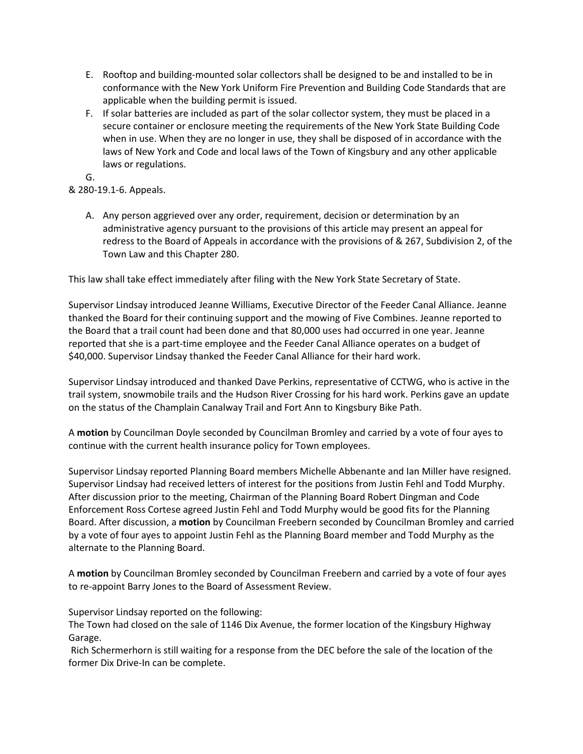- E. Rooftop and building-mounted solar collectors shall be designed to be and installed to be in conformance with the New York Uniform Fire Prevention and Building Code Standards that are applicable when the building permit is issued.
- F. If solar batteries are included as part of the solar collector system, they must be placed in a secure container or enclosure meeting the requirements of the New York State Building Code when in use. When they are no longer in use, they shall be disposed of in accordance with the laws of New York and Code and local laws of the Town of Kingsbury and any other applicable laws or regulations.

G.

& 280-19.1-6. Appeals.

A. Any person aggrieved over any order, requirement, decision or determination by an administrative agency pursuant to the provisions of this article may present an appeal for redress to the Board of Appeals in accordance with the provisions of & 267, Subdivision 2, of the Town Law and this Chapter 280.

This law shall take effect immediately after filing with the New York State Secretary of State.

Supervisor Lindsay introduced Jeanne Williams, Executive Director of the Feeder Canal Alliance. Jeanne thanked the Board for their continuing support and the mowing of Five Combines. Jeanne reported to the Board that a trail count had been done and that 80,000 uses had occurred in one year. Jeanne reported that she is a part-time employee and the Feeder Canal Alliance operates on a budget of \$40,000. Supervisor Lindsay thanked the Feeder Canal Alliance for their hard work.

Supervisor Lindsay introduced and thanked Dave Perkins, representative of CCTWG, who is active in the trail system, snowmobile trails and the Hudson River Crossing for his hard work. Perkins gave an update on the status of the Champlain Canalway Trail and Fort Ann to Kingsbury Bike Path.

A **motion** by Councilman Doyle seconded by Councilman Bromley and carried by a vote of four ayes to continue with the current health insurance policy for Town employees.

Supervisor Lindsay reported Planning Board members Michelle Abbenante and Ian Miller have resigned. Supervisor Lindsay had received letters of interest for the positions from Justin Fehl and Todd Murphy. After discussion prior to the meeting, Chairman of the Planning Board Robert Dingman and Code Enforcement Ross Cortese agreed Justin Fehl and Todd Murphy would be good fits for the Planning Board. After discussion, a **motion** by Councilman Freebern seconded by Councilman Bromley and carried by a vote of four ayes to appoint Justin Fehl as the Planning Board member and Todd Murphy as the alternate to the Planning Board.

A **motion** by Councilman Bromley seconded by Councilman Freebern and carried by a vote of four ayes to re-appoint Barry Jones to the Board of Assessment Review.

Supervisor Lindsay reported on the following:

The Town had closed on the sale of 1146 Dix Avenue, the former location of the Kingsbury Highway Garage.

 Rich Schermerhorn is still waiting for a response from the DEC before the sale of the location of the former Dix Drive-In can be complete.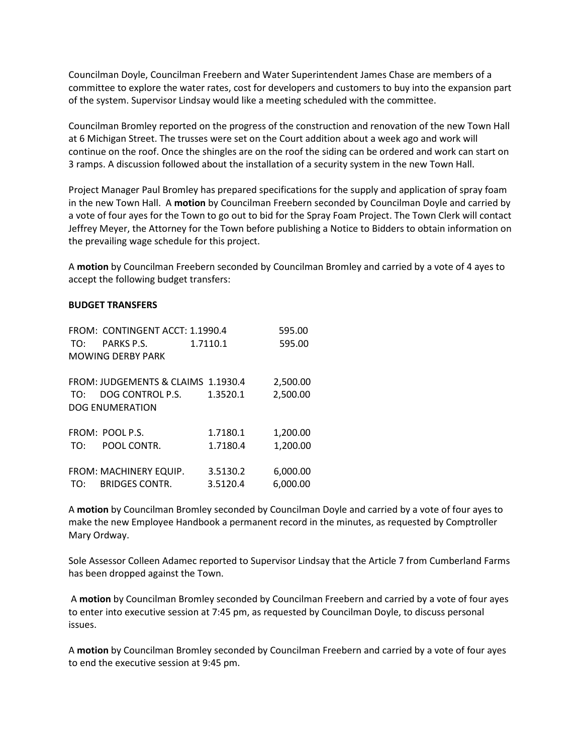Councilman Doyle, Councilman Freebern and Water Superintendent James Chase are members of a committee to explore the water rates, cost for developers and customers to buy into the expansion part of the system. Supervisor Lindsay would like a meeting scheduled with the committee.

Councilman Bromley reported on the progress of the construction and renovation of the new Town Hall at 6 Michigan Street. The trusses were set on the Court addition about a week ago and work will continue on the roof. Once the shingles are on the roof the siding can be ordered and work can start on 3 ramps. A discussion followed about the installation of a security system in the new Town Hall.

Project Manager Paul Bromley has prepared specifications for the supply and application of spray foam in the new Town Hall. A **motion** by Councilman Freebern seconded by Councilman Doyle and carried by a vote of four ayes for the Town to go out to bid for the Spray Foam Project. The Town Clerk will contact Jeffrey Meyer, the Attorney for the Town before publishing a Notice to Bidders to obtain information on the prevailing wage schedule for this project.

A **motion** by Councilman Freebern seconded by Councilman Bromley and carried by a vote of 4 ayes to accept the following budget transfers:

#### **BUDGET TRANSFERS**

|     | FROM: CONTINGENT ACCT: 1.1990.4    | 595.00   |          |
|-----|------------------------------------|----------|----------|
| TO: | PARKS P.S.                         | 1.7110.1 | 595.00   |
|     | MOWING DERBY PARK                  |          |          |
|     | FROM: JUDGEMENTS & CLAIMS 1.1930.4 |          | 2,500.00 |
| TO: | DOG CONTROL P.S.                   | 1.3520.1 | 2,500.00 |
|     | <b>DOG ENUMERATION</b>             |          |          |
|     | FROM: POOL P.S.                    | 1.7180.1 | 1,200.00 |
| TO: | POOL CONTR.                        | 1.7180.4 | 1,200.00 |
|     | FROM: MACHINERY EQUIP.             | 3.5130.2 | 6,000.00 |
|     |                                    |          |          |
| TO: | <b>BRIDGES CONTR.</b>              | 3.5120.4 | 6,000.00 |

A **motion** by Councilman Bromley seconded by Councilman Doyle and carried by a vote of four ayes to make the new Employee Handbook a permanent record in the minutes, as requested by Comptroller Mary Ordway.

Sole Assessor Colleen Adamec reported to Supervisor Lindsay that the Article 7 from Cumberland Farms has been dropped against the Town.

 A **motion** by Councilman Bromley seconded by Councilman Freebern and carried by a vote of four ayes to enter into executive session at 7:45 pm, as requested by Councilman Doyle, to discuss personal issues.

A **motion** by Councilman Bromley seconded by Councilman Freebern and carried by a vote of four ayes to end the executive session at 9:45 pm.